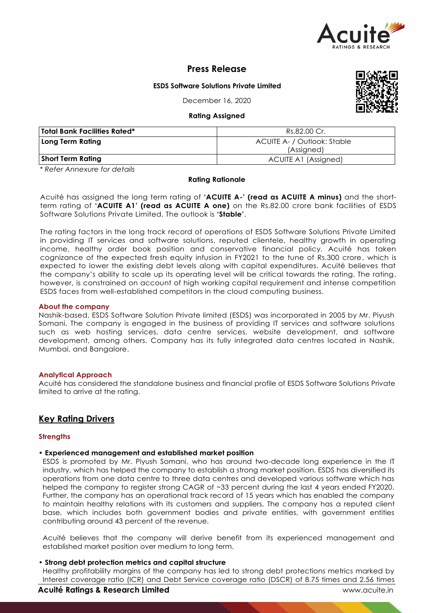

# **Press Release**

### **ESDS Software Solutions Private Limited**

December 16, 2020

#### **Rating Assigned**

| <b>Total Bank Facilities Rated*</b> | Rs.82.00 Cr.                |  |
|-------------------------------------|-----------------------------|--|
| Long Term Rating                    | ACUITE A- / Outlook: Stable |  |
|                                     | (Assigned)                  |  |
| <b>Short Term Rating</b>            | <b>ACUITE A1 (Assigned)</b> |  |

*\* Refer Annexure for details*

#### **Rating Rationale**

Acuité has assigned the long term rating of **'ACUITE A-' (read as ACUITE A minus)** and the shortterm rating of **'ACUITE A1' (read as ACUITE A one)** on the Rs.82.00 crore bank facilities of ESDS Software Solutions Private Limited. The outlook is **'Stable'**.

The rating factors in the long track record of operations of ESDS Software Solutions Private Limited in providing IT services and software solutions, reputed clientele, healthy growth in operating income, healthy order book position and conservative financial policy. Acuité has taken cognizance of the expected fresh equity infusion in FY2021 to the tune of Rs.300 crore, which is expected to lower the existing debt levels along with capital expenditures. Acuité believes that the company's ability to scale up its operating level will be critical towards the rating. The rating, however, is constrained on account of high working capital requirement and intense competition ESDS faces from well-established competitors in the cloud computing business.

#### **About the company**

Nashik-based, ESDS Software Solution Private limited (ESDS) was incorporated in 2005 by Mr. Piyush Somani. The company is engaged in the business of providing IT services and software solutions such as web hosting services, data centre services, website development, and software development, among others. Company has its fully integrated data centres located in Nashik, Mumbai, and Bangalore.

#### **Analytical Approach**

Acuité has considered the standalone business and financial profile of ESDS Software Solutions Private limited to arrive at the rating.

## **Key Rating Drivers**

#### **Strengths**

## • **Experienced management and established market position**

ESDS is promoted by Mr. Piyush Somani, who has around two-decade long experience in the IT industry, which has helped the company to establish a strong market position. ESDS has diversified its operations from one data centre to three data centres and developed various software which has helped the company to register strong CAGR of ~33 percent during the last 4 years ended FY2020. Further, the company has an operational track record of 15 years which has enabled the company to maintain healthy relations with its customers and suppliers. The company has a reputed client base, which includes both government bodies and private entities, with government entities contributing around 43 percent of the revenue.

Acuité believes that the company will derive benefit from its experienced management and established market position over medium to long term.

#### • **Strong debt protection metrics and capital structure**

Healthy profitability margins of the company has led to strong debt protections metrics marked by Interest coverage ratio (ICR) and Debt Service coverage ratio (DSCR) of 8.75 times and 2.56 times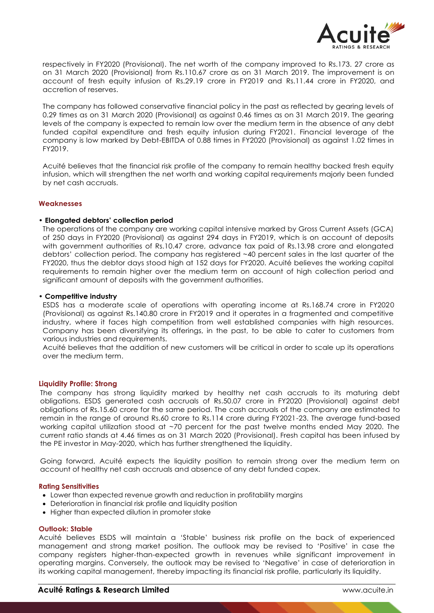

respectively in FY2020 (Provisional). The net worth of the company improved to Rs.173. 27 crore as on 31 March 2020 (Provisional) from Rs.110.67 crore as on 31 March 2019. The improvement is on account of fresh equity infusion of Rs.29.19 crore in FY2019 and Rs.11.44 crore in FY2020, and accretion of reserves.

The company has followed conservative financial policy in the past as reflected by gearing levels of 0.29 times as on 31 March 2020 (Provisional) as against 0.46 times as on 31 March 2019. The gearing levels of the company is expected to remain low over the medium term in the absence of any debt funded capital expenditure and fresh equity infusion during FY2021. Financial leverage of the company is low marked by Debt-EBITDA of 0.88 times in FY2020 (Provisional) as against 1.02 times in FY2019.

Acuité believes that the financial risk profile of the company to remain healthy backed fresh equity infusion, which will strengthen the net worth and working capital requirements majorly been funded by net cash accruals.

#### **Weaknesses**

#### • **Elongated debtors' collection period**

The operations of the company are working capital intensive marked by Gross Current Assets (GCA) of 250 days in FY2020 (Provisional) as against 294 days in FY2019, which is on account of deposits with government authorities of Rs.10.47 crore, advance tax paid of Rs.13.98 crore and elongated debtors' collection period. The company has registered ~40 percent sales in the last quarter of the FY2020, thus the debtor days stood high at 152 days for FY2020. Acuité believes the working capital requirements to remain higher over the medium term on account of high collection period and significant amount of deposits with the government authorities.

#### • **Competitive industry**

ESDS has a moderate scale of operations with operating income at Rs.168.74 crore in FY2020 (Provisional) as against Rs.140.80 crore in FY2019 and it operates in a fragmented and competitive industry, where it faces high competition from well established companies with high resources. Company has been diversifying its offerings, in the past, to be able to cater to customers from various industries and requirements.

Acuité believes that the addition of new customers will be critical in order to scale up its operations over the medium term.

#### **Liquidity Profile: Strong**

The company has strong liquidity marked by healthy net cash accruals to its maturing debt obligations. ESDS generated cash accruals of Rs.50.07 crore in FY2020 (Provisional) against debt obligations of Rs.15.60 crore for the same period. The cash accruals of the company are estimated to remain in the range of around Rs.60 crore to Rs.114 crore during FY2021-23. The average fund-based working capital utilization stood at ~70 percent for the past twelve months ended May 2020. The current ratio stands at 4.46 times as on 31 March 2020 (Provisional). Fresh capital has been infused by the PE investor in May-2020, which has further strengthened the liquidity.

Going forward, Acuité expects the liquidity position to remain strong over the medium term on account of healthy net cash accruals and absence of any debt funded capex.

#### **Rating Sensitivities**

- Lower than expected revenue growth and reduction in profitability margins
- Deterioration in financial risk profile and liquidity position
- Higher than expected dilution in promoter stake

#### **Outlook: Stable**

Acuité believes ESDS will maintain a 'Stable' business risk profile on the back of experienced management and strong market position. The outlook may be revised to 'Positive' in case the company registers higher-than-expected growth in revenues while significant improvement in operating margins. Conversely, the outlook may be revised to 'Negative' in case of deterioration in its working capital management, thereby impacting its financial risk profile, particularly its liquidity.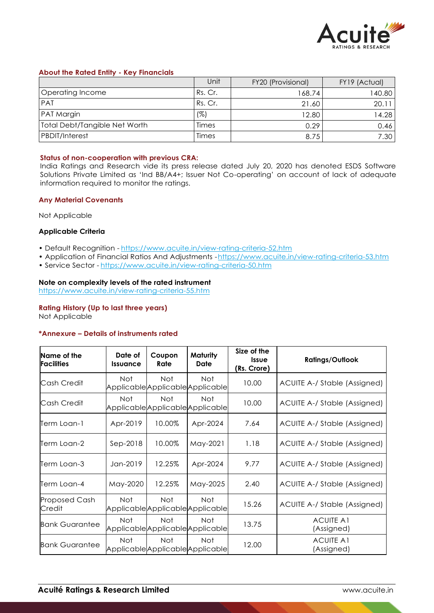

## **About the Rated Entity - Key Financials**

|                                      | Unit    | FY20 (Provisional) | FY19 (Actual) |
|--------------------------------------|---------|--------------------|---------------|
| Operating Income                     | Rs. Cr. | 168.74             | 140.80        |
| <b>PAT</b>                           | Rs. Cr. | 21.60              | 20.11         |
| PAT Margin                           | (%)     | 12.80              | 14.28         |
| <b>Total Debt/Tangible Net Worth</b> | Times   | 0.29               | 0.46          |
| <b>PBDIT/Interest</b>                | Times   | 8.75               | 7.30          |

#### **Status of non-cooperation with previous CRA:**

India Ratings and Research vide its press release dated July 20, 2020 has denoted ESDS Software Solutions Private Limited as 'Ind BB/A4+; Issuer Not Co-operating' on account of lack of adequate information required to monitor the ratings.

## **Any Material Covenants**

Not Applicable

## **Applicable Criteria**

- Default Recognition https://www.acuite.in/view-rating-criteria-52.htm
- Application of Financial Ratios And Adjustments -https://www.acuite.in/view-rating-criteria-53.htm
- Service Sector https://www.acuite.in/view-rating-criteria-50.htm

## **Note on complexity levels of the rated instrument**

https://www.acuite.in/view-rating-criteria-55.htm

#### **Rating History (Up to last three years)**

Not Applicable

#### **\*Annexure – Details of instruments rated**

| Name of the<br><b>Facilities</b> | Date of<br><b>Issuance</b> | Coupon<br>Rate | <b>Maturity</b><br>Date                  | Size of the<br><b>Issue</b><br>(Rs. Crore) | <b>Ratings/Outlook</b>         |
|----------------------------------|----------------------------|----------------|------------------------------------------|--------------------------------------------|--------------------------------|
| Cash Credit                      | Not.                       | Not            | Not.<br>ApplicableApplicableApplicable   | 10.00                                      | ACUITE A-/ Stable (Assigned)   |
| Cash Credit                      | Not.                       | Not            | Not.<br>ApplicableApplicableApplicable   | 10.00                                      | ACUITE A-/ Stable (Assigned)   |
| Term Loan-1                      | Apr-2019                   | 10.00%         | Apr-2024                                 | 7.64                                       | ACUITE A-/ Stable (Assigned)   |
| Term Loan-2                      | Sep-2018                   | 10.00%         | May-2021                                 | 1.18                                       | ACUITE A-/ Stable (Assigned)   |
| Term Loan-3                      | Jan-2019                   | 12.25%         | Apr-2024                                 | 9.77                                       | ACUITE A-/ Stable (Assigned)   |
| Term Loan-4                      | May-2020                   | 12.25%         | May-2025                                 | 2.40                                       | ACUITE A-/ Stable (Assigned)   |
| <b>Proposed Cash</b><br>Credit   | Not.                       | Not.           | Not.<br>Applicable Applicable Applicable | 15.26                                      | ACUITE A-/ Stable (Assigned)   |
| <b>Bank Guarantee</b>            | Not                        | Not.           | Not.<br>ApplicableApplicableApplicable   | 13.75                                      | <b>ACUITE A1</b><br>(Assigned) |
| <b>Bank Guarantee</b>            | Not                        | Not.           | Not.<br>Applicable Applicable Applicable | 12.00                                      | <b>ACUITE A1</b><br>(Assigned) |